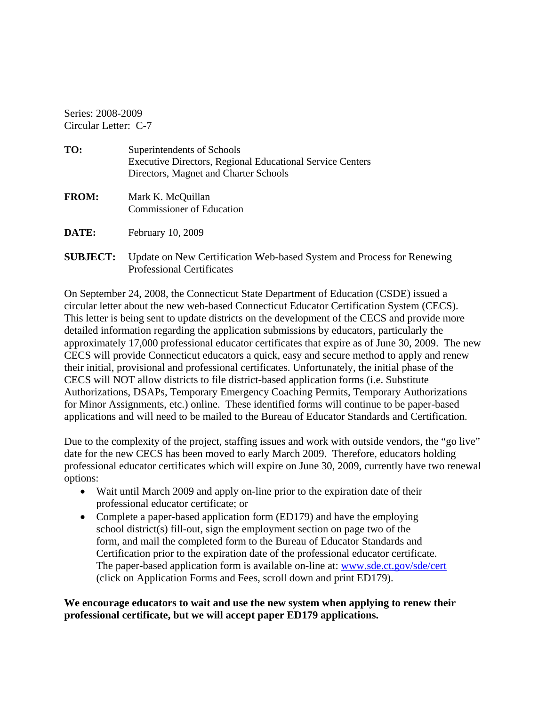Series: 2008-2009 Circular Letter: C-7

| Superintendents of Schools                                       |
|------------------------------------------------------------------|
| <b>Executive Directors, Regional Educational Service Centers</b> |
| Directors, Magnet and Charter Schools                            |
|                                                                  |

**FROM: Mark K. McQuillan** Commissioner of Education

DATE: February 10, 2009

**SUBJECT:** Update on New Certification Web-based System and Process for Renewing Professional Certificates

On September 24, 2008, the Connecticut State Department of Education (CSDE) issued a circular letter about the new web-based Connecticut Educator Certification System (CECS). This letter is being sent to update districts on the development of the CECS and provide more detailed information regarding the application submissions by educators, particularly the approximately 17,000 professional educator certificates that expire as of June 30, 2009. The new CECS will provide Connecticut educators a quick, easy and secure method to apply and renew their initial, provisional and professional certificates. Unfortunately, the initial phase of the CECS will NOT allow districts to file district-based application forms (i.e. Substitute Authorizations, DSAPs, Temporary Emergency Coaching Permits, Temporary Authorizations for Minor Assignments, etc.) online. These identified forms will continue to be paper-based applications and will need to be mailed to the Bureau of Educator Standards and Certification.

Due to the complexity of the project, staffing issues and work with outside vendors, the "go live" date for the new CECS has been moved to early March 2009. Therefore, educators holding professional educator certificates which will expire on June 30, 2009, currently have two renewal options:

- Wait until March 2009 and apply on-line prior to the expiration date of their professional educator certificate; or
- Complete a paper-based application form (ED179) and have the employing school district(s) fill-out, sign the employment section on page two of the form, and mail the completed form to the Bureau of Educator Standards and Certification prior to the expiration date of the professional educator certificate. The paper-based application form is available on-line at: www.sde.ct.gov/sde/cert (click on Application Forms and Fees, scroll down and print ED179).

**We encourage educators to wait and use the new system when applying to renew their professional certificate, but we will accept paper ED179 applications.**